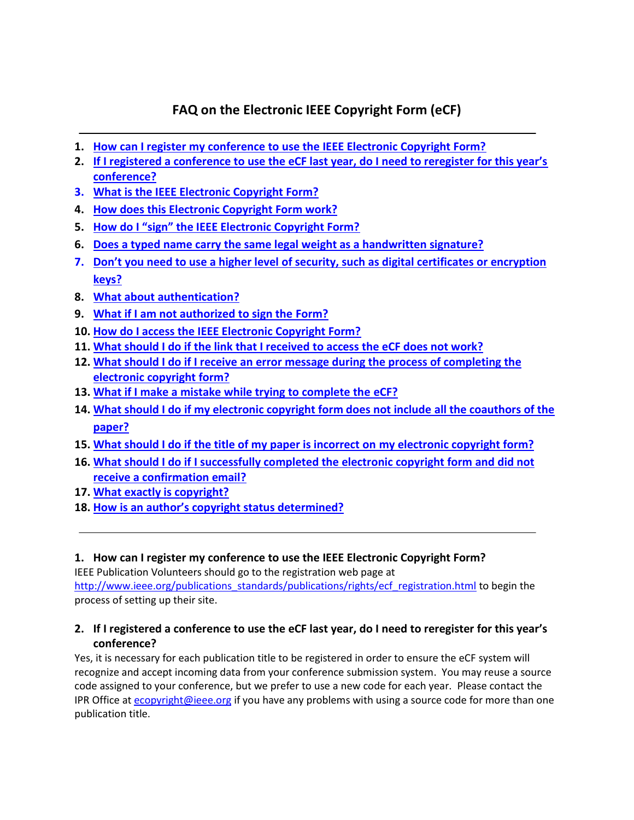# **FAQ on the Electronic IEEE Copyright Form (eCF)**

- **1. [How can I register my conference to use the IEEE Electronic Copyright Form?](#page-0-0)**
- **2. [If I registered a conference to use the eCF last year, do I need to reregister for this year's](#page-0-1)  [conference?](#page-0-1)**
- **3. [What is the IEEE Electronic Copyright Form?](#page-1-0)**
- **4. [How does this Electronic Copyright Form work?](#page-1-1)**
- **5. [How do I "sign" the IEEE Electronic Copyright Form?](#page-1-2)**
- **6. [Does a typed name carry the same legal weight as a handwritten signature?](#page-1-3)**
- **7. [Don't you need to use a higher level of security, such as digital certificates or encryption](#page-1-4)  [keys?](#page-1-4)**
- **8. [What about authentication?](#page-1-5)**
- **9. [What if I am not authorized to sign the Form?](#page-1-6)**
- **10. [How do I access the IEEE Electronic Copyright Form?](#page-2-0)**
- **11. [What should I do if the link that I received to access](#page-2-1) the eCF does not work?**
- **12. What should I do if I receive [an error message during the process of completing the](#page-2-2)  [electronic copyright form?](#page-2-2)**
- **13. [What if I make a mistake while trying to complete the eCF?](#page-2-3)**
- **14. What should I do [if my electronic copyright form does not include](#page-2-4) all the coauthors of the [paper?](#page-2-4)**
- **15. [What should I do if the title of my paper is incorrect on my electronic copyright form?](#page-2-5)**
- **16. [What should I do if I successfully completed the electronic copyright form](#page-2-6) and did not [receive a confirmation email?](#page-2-6)**
- **17. [What exactly is copyright?](#page-2-7)**
- **18. [How is an author's copyright status determined?](#page-3-0)**

## <span id="page-0-0"></span>**1. How can I register my conference to use the IEEE Electronic Copyright Form?**

IEEE Publication Volunteers should go to the registration web page at [http://www.ieee.org/publications\\_standards/publications/rights/ecf\\_registration.html](http://www.ieee.org/publications_standards/publications/rights/ecf_registration.html) to begin the process of setting up their site.

## <span id="page-0-1"></span>**2. If I registered a conference to use the eCF last year, do I need to reregister for this year's conference?**

Yes, it is necessary for each publication title to be registered in order to ensure the eCF system will recognize and accept incoming data from your conference submission system. You may reuse a source code assigned to your conference, but we prefer to use a new code for each year. Please contact the IPR Office a[t ecopyright@ieee.org](mailto:ecopyright@ieee.org) if you have any problems with using a source code for more than one publication title.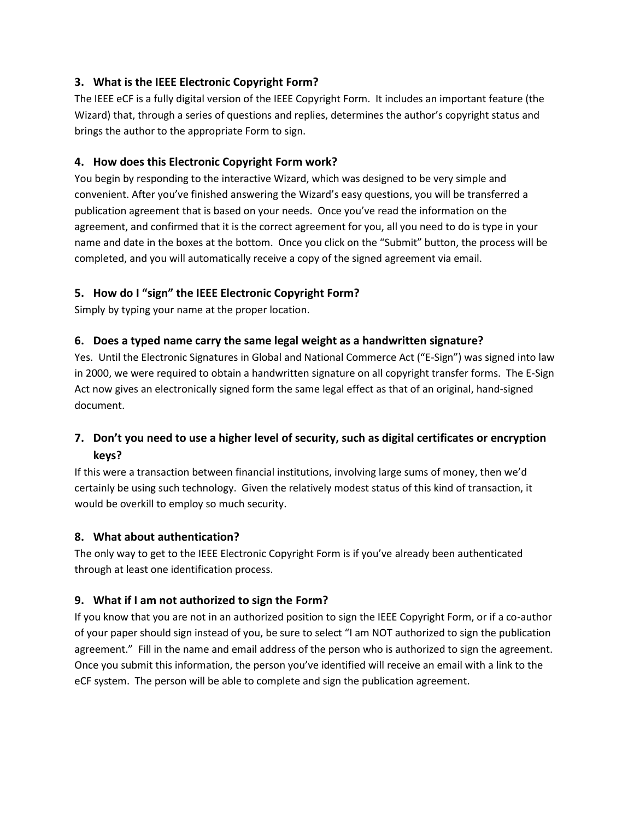## <span id="page-1-0"></span>**3. What is the IEEE Electronic Copyright Form?**

The IEEE eCF is a fully digital version of the IEEE Copyright Form. It includes an important feature (the Wizard) that, through a series of questions and replies, determines the author's copyright status and brings the author to the appropriate Form to sign.

#### <span id="page-1-1"></span>**4. How does this Electronic Copyright Form work?**

You begin by responding to the interactive Wizard, which was designed to be very simple and convenient. After you've finished answering the Wizard's easy questions, you will be transferred a publication agreement that is based on your needs. Once you've read the information on the agreement, and confirmed that it is the correct agreement for you, all you need to do is type in your name and date in the boxes at the bottom. Once you click on the "Submit" button, the process will be completed, and you will automatically receive a copy of the signed agreement via email.

#### <span id="page-1-2"></span>**5. How do I "sign" the IEEE Electronic Copyright Form?**

Simply by typing your name at the proper location.

#### <span id="page-1-3"></span>**6. Does a typed name carry the same legal weight as a handwritten signature?**

Yes. Until the Electronic Signatures in Global and National Commerce Act ("E-Sign") was signed into law in 2000, we were required to obtain a handwritten signature on all copyright transfer forms. The E-Sign Act now gives an electronically signed form the same legal effect as that of an original, hand-signed document.

## <span id="page-1-4"></span>**7. Don't you need to use a higher level of security, such as digital certificates or encryption keys?**

If this were a transaction between financial institutions, involving large sums of money, then we'd certainly be using such technology. Given the relatively modest status of this kind of transaction, it would be overkill to employ so much security.

#### <span id="page-1-5"></span>**8. What about authentication?**

The only way to get to the IEEE Electronic Copyright Form is if you've already been authenticated through at least one identification process.

#### <span id="page-1-6"></span>**9. What if I am not authorized to sign the Form?**

If you know that you are not in an authorized position to sign the IEEE Copyright Form, or if a co-author of your paper should sign instead of you, be sure to select "I am NOT authorized to sign the publication agreement." Fill in the name and email address of the person who is authorized to sign the agreement. Once you submit this information, the person you've identified will receive an email with a link to the eCF system. The person will be able to complete and sign the publication agreement.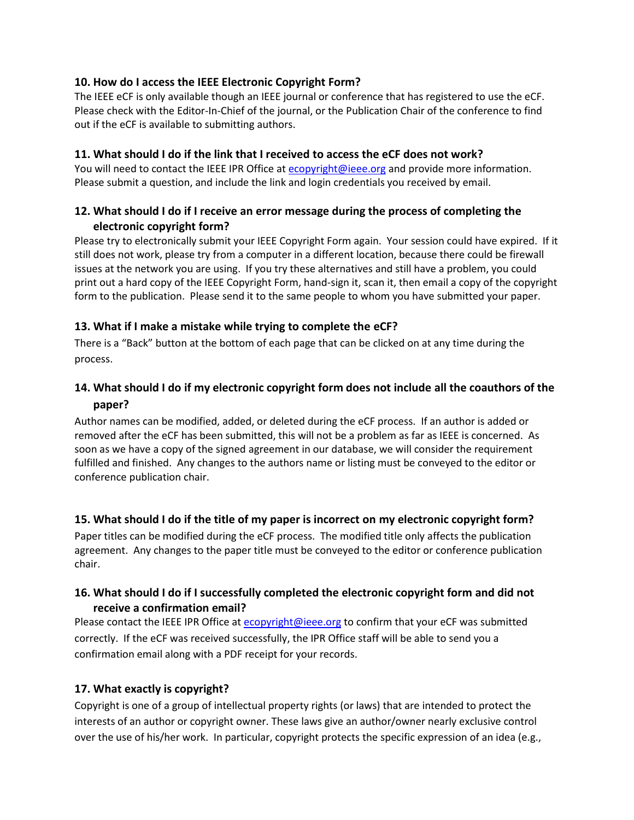#### <span id="page-2-0"></span>**10. How do I access the IEEE Electronic Copyright Form?**

The IEEE eCF is only available though an IEEE journal or conference that has registered to use the eCF. Please check with the Editor-In-Chief of the journal, or the Publication Chair of the conference to find out if the eCF is available to submitting authors.

#### <span id="page-2-1"></span>**11. What should I do if the link that I received to access the eCF does not work?**

You will need to contact the IEEE IPR Office a[t ecopyright@ieee.org](mailto:ecopyright@ieee.org) and provide more information. Please submit a question, and include the link and login credentials you received by email.

### <span id="page-2-2"></span>**12. What should I do if I receive an error message during the process of completing the electronic copyright form?**

Please try to electronically submit your IEEE Copyright Form again. Your session could have expired. If it still does not work, please try from a computer in a different location, because there could be firewall issues at the network you are using. If you try these alternatives and still have a problem, you could print out a hard copy of the IEEE Copyright Form, hand-sign it, scan it, then email a copy of the copyright form to the publication. Please send it to the same people to whom you have submitted your paper.

#### <span id="page-2-3"></span>**13. What if I make a mistake while trying to complete the eCF?**

There is a "Back" button at the bottom of each page that can be clicked on at any time during the process.

## <span id="page-2-4"></span>**14. What should I do if my electronic copyright form does not include all the coauthors of the paper?**

Author names can be modified, added, or deleted during the eCF process. If an author is added or removed after the eCF has been submitted, this will not be a problem as far as IEEE is concerned. As soon as we have a copy of the signed agreement in our database, we will consider the requirement fulfilled and finished. Any changes to the authors name or listing must be conveyed to the editor or conference publication chair.

## <span id="page-2-5"></span>**15. What should I do if the title of my paper is incorrect on my electronic copyright form?**

Paper titles can be modified during the eCF process. The modified title only affects the publication agreement. Any changes to the paper title must be conveyed to the editor or conference publication chair.

## <span id="page-2-6"></span>**16. What should I do if I successfully completed the electronic copyright form and did not receive a confirmation email?**

Please contact the IEEE IPR Office a[t ecopyright@ieee.org](mailto:ecopyright@ieee.org) to confirm that your eCF was submitted correctly. If the eCF was received successfully, the IPR Office staff will be able to send you a confirmation email along with a PDF receipt for your records.

## <span id="page-2-7"></span>**17. What exactly is copyright?**

Copyright is one of a group of intellectual property rights (or laws) that are intended to protect the interests of an author or copyright owner. These laws give an author/owner nearly exclusive control over the use of his/her work. In particular, copyright protects the specific expression of an idea (e.g.,